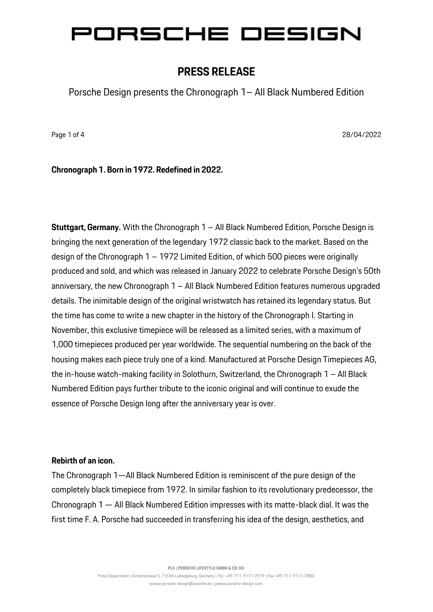### **PRESS RELEASE**

Porsche Design presents the Chronograph 1– All Black Numbered Edition

Page 1 of 4 28/04/2022

**Chronograph 1. Born in 1972. Redefined in 2022.**

**Stuttgart, Germany.** With the Chronograph 1 – All Black Numbered Edition, Porsche Design is bringing the next generation of the legendary 1972 classic back to the market. Based on the design of the Chronograph 1 – 1972 Limited Edition, of which 500 pieces were originally produced and sold, and which was released in January 2022 to celebrate Porsche Design's 50th anniversary, the new Chronograph 1 – All Black Numbered Edition features numerous upgraded details. The inimitable design of the original wristwatch has retained its legendary status. But the time has come to write a new chapter in the history of the Chronograph I. Starting in November, this exclusive timepiece will be released as a limited series, with a maximum of 1,000 timepieces produced per year worldwide. The sequential numbering on the back of the housing makes each piece truly one of a kind. Manufactured at Porsche Design Timepieces AG, the in-house watch-making facility in Solothurn, Switzerland, the Chronograph 1 – All Black Numbered Edition pays further tribute to the iconic original and will continue to exude the essence of Porsche Design long after the anniversary year is over.

#### **Rebirth of an icon.**

The Chronograph 1—All Black Numbered Edition is reminiscent of the pure design of the completely black timepiece from 1972. In similar fashion to its revolutionary predecessor, the Chronograph 1 — All Black Numbered Edition impresses with its matte-black dial. It was the first time F. A. Porsche had succeeded in transferring his idea of the design, aesthetics, and

**PLX | PORSCHE LIFESTYLE GMBH & CO. KG**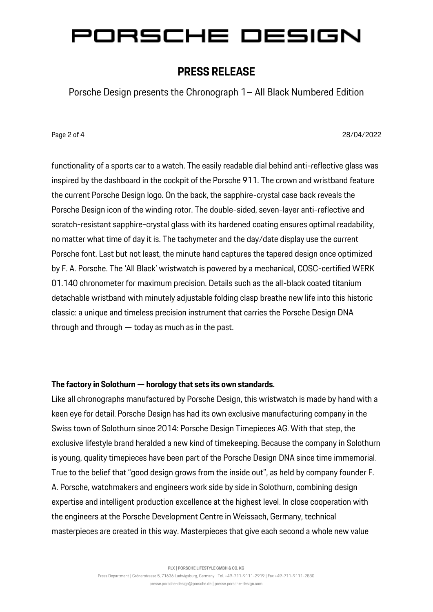### **PRESS RELEASE**

Porsche Design presents the Chronograph 1– All Black Numbered Edition

Page 2 of 4 28/04/2022

functionality of a sports car to a watch. The easily readable dial behind anti-reflective glass was inspired by the dashboard in the cockpit of the Porsche 911. The crown and wristband feature the current Porsche Design logo. On the back, the sapphire-crystal case back reveals the Porsche Design icon of the winding rotor. The double-sided, seven-layer anti-reflective and scratch-resistant sapphire-crystal glass with its hardened coating ensures optimal readability, no matter what time of day it is. The tachymeter and the day/date display use the current Porsche font. Last but not least, the minute hand captures the tapered design once optimized by F. A. Porsche. The 'All Black' wristwatch is powered by a mechanical, COSC-certified WERK 01.140 chronometer for maximum precision. Details such as the all-black coated titanium detachable wristband with minutely adjustable folding clasp breathe new life into this historic classic: a unique and timeless precision instrument that carries the Porsche Design DNA through and through — today as much as in the past.

#### **The factory in Solothurn — horology that sets its own standards.**

Like all chronographs manufactured by Porsche Design, this wristwatch is made by hand with a keen eye for detail. Porsche Design has had its own exclusive manufacturing company in the Swiss town of Solothurn since 2014: Porsche Design Timepieces AG. With that step, the exclusive lifestyle brand heralded a new kind of timekeeping. Because the company in Solothurn is young, quality timepieces have been part of the Porsche Design DNA since time immemorial. True to the belief that "good design grows from the inside out", as held by company founder F. A. Porsche, watchmakers and engineers work side by side in Solothurn, combining design expertise and intelligent production excellence at the highest level. In close cooperation with the engineers at the Porsche Development Centre in Weissach, Germany, technical masterpieces are created in this way. Masterpieces that give each second a whole new value

**PLX | PORSCHE LIFESTYLE GMBH & CO. KG**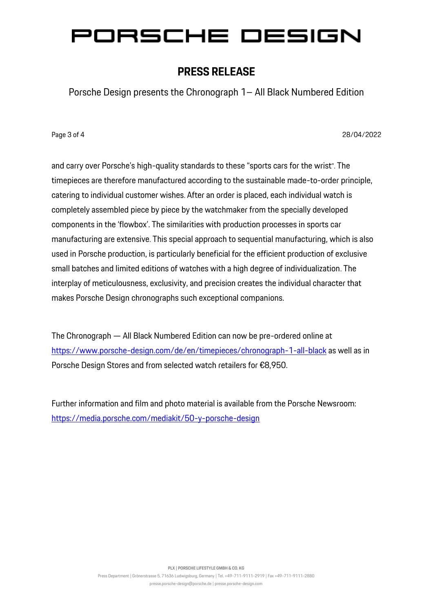### **PRESS RELEASE**

Porsche Design presents the Chronograph 1– All Black Numbered Edition

Page 3 of 4 28/04/2022

and carry over Porsche's high-quality standards to these "sports cars for the wrist". The timepieces are therefore manufactured according to the sustainable made-to-order principle, catering to individual customer wishes. After an order is placed, each individual watch is completely assembled piece by piece by the watchmaker from the specially developed components in the 'flowbox'. The similarities with production processes in sports car manufacturing are extensive. This special approach to sequential manufacturing, which is also used in Porsche production, is particularly beneficial for the efficient production of exclusive small batches and limited editions of watches with a high degree of individualization. The interplay of meticulousness, exclusivity, and precision creates the individual character that makes Porsche Design chronographs such exceptional companions.

The Chronograph — All Black Numbered Edition can now be pre-ordered online at <https://www.porsche-design.com/de/en/timepieces/chronograph-1-all-black> as well as in Porsche Design Stores and from selected watch retailers for €8,950.

Further information and film and photo material is available from the Porsche Newsroom: <https://media.porsche.com/mediakit/50-y-porsche-design>